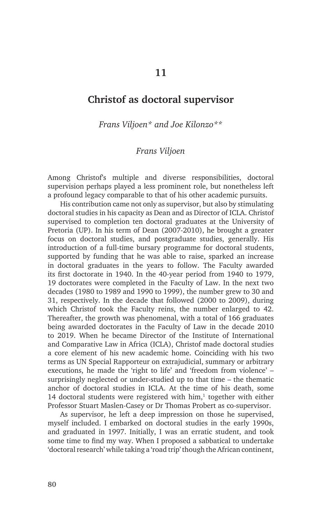## **Christof as doctoral supervisor**

*Frans Viljoen\* and Joe Kilonzo\*\**

## *Frans Viljoen*

Among Christof's multiple and diverse responsibilities, doctoral supervision perhaps played a less prominent role, but nonetheless left a profound legacy comparable to that of his other academic pursuits.

His contribution came not only as supervisor, but also by stimulating doctoral studies in his capacity as Dean and as Director of ICLA. Christof supervised to completion ten doctoral graduates at the University of Pretoria (UP). In his term of Dean (2007-2010), he brought a greater focus on doctoral studies, and postgraduate studies, generally. His introduction of a full-time bursary programme for doctoral students, supported by funding that he was able to raise, sparked an increase in doctoral graduates in the years to follow. The Faculty awarded its first doctorate in 1940. In the 40-year period from 1940 to 1979, 19 doctorates were completed in the Faculty of Law. In the next two decades (1980 to 1989 and 1990 to 1999), the number grew to 30 and 31, respectively. In the decade that followed (2000 to 2009), during which Christof took the Faculty reins, the number enlarged to 42. Thereafter, the growth was phenomenal, with a total of 166 graduates being awarded doctorates in the Faculty of Law in the decade 2010 to 2019. When he became Director of the Institute of International and Comparative Law in Africa (ICLA), Christof made doctoral studies a core element of his new academic home. Coinciding with his two terms as UN Special Rapporteur on extrajudicial, summary or arbitrary executions, he made the 'right to life' and 'freedom from violence' – surprisingly neglected or under-studied up to that time – the thematic anchor of doctoral studies in ICLA. At the time of his death, some 14 doctoral students were registered with  $\lim_{t \to 1}$  together with either Professor Stuart Maslen-Casey or Dr Thomas Probert as co-supervisor.

As supervisor, he left a deep impression on those he supervised, myself included. I embarked on doctoral studies in the early 1990s, and graduated in 1997. Initially, I was an erratic student, and took some time to find my way. When I proposed a sabbatical to undertake 'doctoral research' while taking a 'road trip' though the African continent,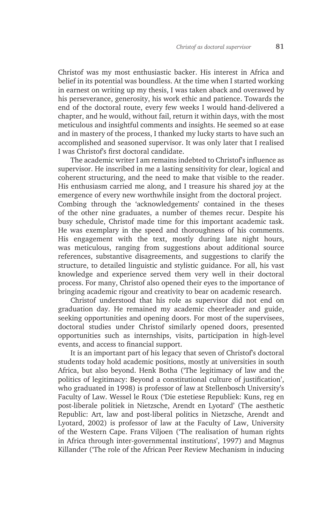Christof was my most enthusiastic backer. His interest in Africa and belief in its potential was boundless. At the time when I started working in earnest on writing up my thesis, I was taken aback and overawed by his perseverance, generosity, his work ethic and patience. Towards the end of the doctoral route, every few weeks I would hand-delivered a chapter, and he would, without fail, return it within days, with the most meticulous and insightful comments and insights. He seemed so at ease and in mastery of the process, I thanked my lucky starts to have such an accomplished and seasoned supervisor. It was only later that I realised I was Christof's first doctoral candidate.

The academic writer I am remains indebted to Christof's influence as supervisor. He inscribed in me a lasting sensitivity for clear, logical and coherent structuring, and the need to make that visible to the reader. His enthusiasm carried me along, and I treasure his shared joy at the emergence of every new worthwhile insight from the doctoral project. Combing through the 'acknowledgements' contained in the theses of the other nine graduates, a number of themes recur. Despite his busy schedule, Christof made time for this important academic task. He was exemplary in the speed and thoroughness of his comments. His engagement with the text, mostly during late night hours, was meticulous, ranging from suggestions about additional source references, substantive disagreements, and suggestions to clarify the structure, to detailed linguistic and stylistic guidance. For all, his vast knowledge and experience served them very well in their doctoral process. For many, Christof also opened their eyes to the importance of bringing academic rigour and creativity to bear on academic research.

Christof understood that his role as supervisor did not end on graduation day. He remained my academic cheerleader and guide, seeking opportunities and opening doors. For most of the supervisees, doctoral studies under Christof similarly opened doors, presented opportunities such as internships, visits, participation in high-level events, and access to financial support.

It is an important part of his legacy that seven of Christof's doctoral students today hold academic positions, mostly at universities in south Africa, but also beyond. Henk Botha ('The legitimacy of law and the politics of legitimacy: Beyond a constitutional culture of justification', who graduated in 1998) is professor of law at Stellenbosch University's Faculty of Law. Wessel le Roux ('Die estetiese Republiek: Kuns, reg en post-liberale politiek in Nietzsche, Arendt en Lyotard' (The aesthetic Republic: Art, law and post-liberal politics in Nietzsche, Arendt and Lyotard, 2002) is professor of law at the Faculty of Law, University of the Western Cape. Frans Viljoen ('The realisation of human rights in Africa through inter-governmental institutions', 1997) and Magnus Killander ('The role of the African Peer Review Mechanism in inducing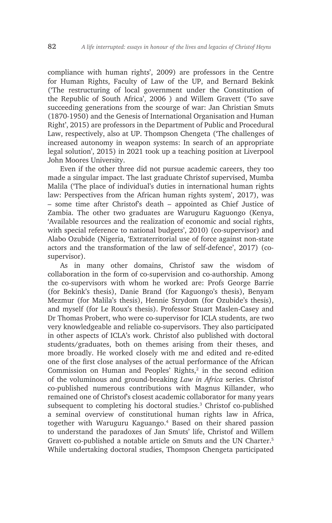compliance with human rights', 2009) are professors in the Centre for Human Rights, Faculty of Law of the UP, and Bernard Bekink ('The restructuring of local government under the Constitution of the Republic of South Africa', 2006 ) and Willem Gravett ('To save succeeding generations from the scourge of war: Jan Christian Smuts (1870-1950) and the Genesis of International Organisation and Human Right', 2015) are professors in the Department of Public and Procedural Law, respectively, also at UP. Thompson Chengeta ('The challenges of increased autonomy in weapon systems: In search of an appropriate legal solution', 2015) in 2021 took up a teaching position at Liverpool John Moores University.

Even if the other three did not pursue academic careers, they too made a singular impact. The last graduate Christof supervised, Mumba Malila ('The place of individual's duties in international human rights law: Perspectives from the African human rights system', 2017), was – some time after Christof's death – appointed as Chief Justice of Zambia. The other two graduates are Waruguru Kaguongo (Kenya, 'Available resources and the realization of economic and social rights, with special reference to national budgets', 2010) (co-supervisor) and Alabo Ozubide (Nigeria, 'Extraterritorial use of force against non-state actors and the transformation of the law of self-defence', 2017) (cosupervisor).

As in many other domains, Christof saw the wisdom of collaboration in the form of co-supervision and co-authorship. Among the co-supervisors with whom he worked are: Profs George Barrie (for Bekink's thesis), Danie Brand (for Kaguongo's thesis), Benyam Mezmur (for Malila's thesis), Hennie Strydom (for Ozubide's thesis), and myself (for Le Roux's thesis). Professor Stuart Maslen-Casey and Dr Thomas Probert, who were co-supervisor for ICLA students, are two very knowledgeable and reliable co-supervisors. They also participated in other aspects of ICLA's work. Christof also published with doctoral students/graduates, both on themes arising from their theses, and more broadly. He worked closely with me and edited and re-edited one of the first close analyses of the actual performance of the African Commission on Human and Peoples' Rights, $2$  in the second edition of the voluminous and ground-breaking *Law in Africa* series. Christof co-published numerous contributions with Magnus Killander, who remained one of Christof's closest academic collaborator for many years subsequent to completing his doctoral studies.<sup>3</sup> Christof co-published a seminal overview of constitutional human rights law in Africa, together with Waruguru Kaguango.4 Based on their shared passion to understand the paradoxes of Jan Smuts' life, Christof and Willem Gravett co-published a notable article on Smuts and the UN Charter.<sup>5</sup> While undertaking doctoral studies, Thompson Chengeta participated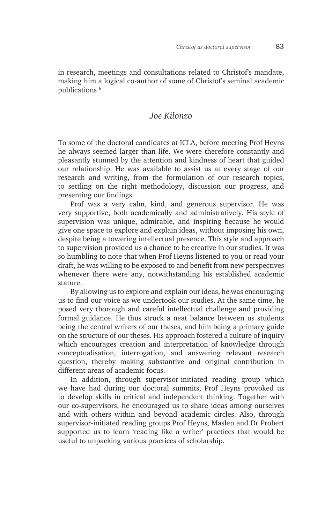in research, meetings and consultations related to Christof's mandate, making him a logical co-author of some of Christof's seminal academic publications 6

## *Joe Kilonzo*

To some of the doctoral candidates at ICLA, before meeting Prof Heyns he always seemed larger than life. We were therefore constantly and pleasantly stunned by the attention and kindness of heart that guided our relationship. He was available to assist us at every stage of our research and writing, from the formulation of our research topics, to settling on the right methodology, discussion our progress, and presenting our findings.

Prof was a very calm, kind, and generous supervisor. He was very supportive, both academically and administratively. His style of supervision was unique, admirable, and inspiring because he would give one space to explore and explain ideas, without imposing his own, despite being a towering intellectual presence. This style and approach to supervision provided us a chance to be creative in our studies. It was so humbling to note that when Prof Heyns listened to you or read your draft, he was willing to be exposed to and benefit from new perspectives whenever there were any, notwithstanding his established academic stature.

By allowing us to explore and explain our ideas, he was encouraging us to find our voice as we undertook our studies. At the same time, he posed very thorough and careful intellectual challenge and providing formal guidance. He thus struck a neat balance between us students being the central writers of our theses, and him being a primary guide on the structure of our theses. His approach fostered a culture of inquiry which encourages creation and interpretation of knowledge through conceptualisation, interrogation, and answering relevant research question, thereby making substantive and original contribution in different areas of academic focus.

In addition, through supervisor-initiated reading group which we have had during our doctoral summits, Prof Heyns provoked us to develop skills in critical and independent thinking. Together with our co-supervisors, he encouraged us to share ideas among ourselves and with others within and beyond academic circles. Also, through supervisor-initiated reading groups Prof Heyns, Maslen and Dr Probert supported us to learn 'reading like a writer' practices that would be useful to unpacking various practices of scholarship.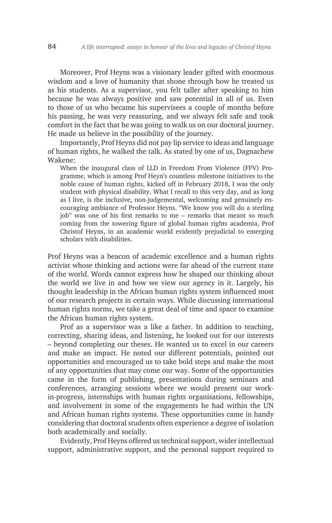Moreover, Prof Heyns was a visionary leader gifted with enormous wisdom and a love of humanity that shone through how he treated us as his students. As a supervisor, you felt taller after speaking to him because he was always positive and saw potential in all of us. Even to those of us who became his supervisees a couple of months before his passing, he was very reassuring, and we always felt safe and took comfort in the fact that he was going to walk us on our doctoral journey. He made us believe in the possibility of the journey.

Importantly, Prof Heyns did not pay lip service to ideas and language of human rights, he walked the talk. As stated by one of us, Dagnachew Wakene:

When the inaugural class of LLD in Freedom From Violence (FFV) Programme, which is among Prof Heyn's countless milestone initiatives to the noble cause of human rights, kicked off in February 2018, I was the only student with physical disability. What I recall to this very day, and as long as I live, is the inclusive, non-judgemental, welcoming and genuinely encouraging ambiance of Professor Heyns. "We know you will do a sterling job" was one of his first remarks to me – remarks that meant so much coming from the towering figure of global human rights academia, Prof Christof Heyns, in an academic world evidently prejudicial to emerging scholars with disabilities.

Prof Heyns was a beacon of academic excellence and a human rights activist whose thinking and actions were far ahead of the current state of the world. Words cannot express how he shaped our thinking about the world we live in and how we view our agency in it. Largely, his thought leadership in the African human rights system influenced most of our research projects in certain ways. While discussing international human rights norms, we take a great deal of time and space to examine the African human rights system.

Prof as a supervisor was a like a father. In addition to teaching, correcting, sharing ideas, and listening, he looked out for our interests – beyond completing our theses. He wanted us to excel in our careers and make an impact. He noted our different potentials, pointed out opportunities and encouraged us to take bold steps and make the most of any opportunities that may come our way. Some of the opportunities came in the form of publishing, presentations during seminars and conferences, arranging sessions where we would present our workin-progress, internships with human rights organisations, fellowships, and involvement in some of the engagements he had within the UN and African human rights systems. These opportunities came in handy considering that doctoral students often experience a degree of isolation both academically and socially.

Evidently, Prof Heyns offered us technical support, wider intellectual support, administrative support, and the personal support required to